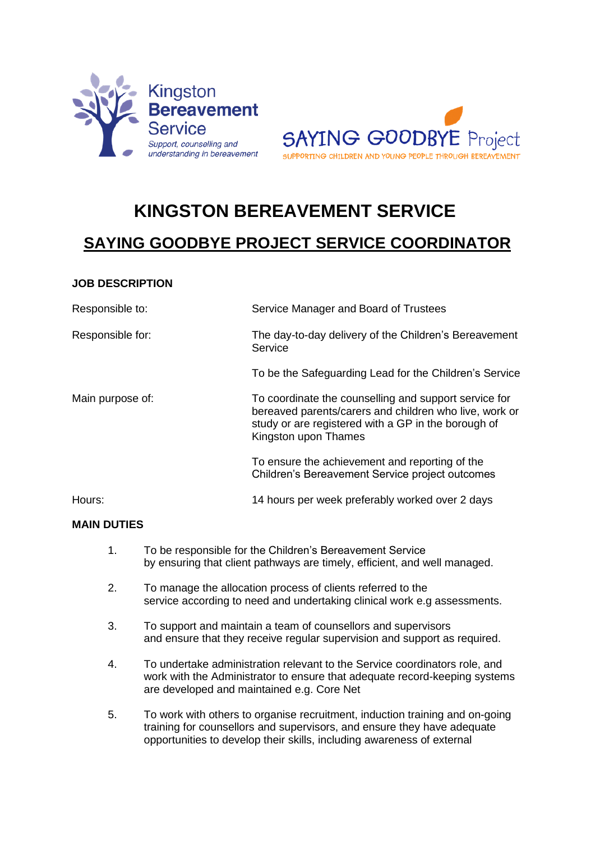



# **KINGSTON BEREAVEMENT SERVICE**

# **SAYING GOODBYE PROJECT SERVICE COORDINATOR**

# **JOB DESCRIPTION**

| Responsible to:  | Service Manager and Board of Trustees                                                                                                                                                          |
|------------------|------------------------------------------------------------------------------------------------------------------------------------------------------------------------------------------------|
| Responsible for: | The day-to-day delivery of the Children's Bereavement<br>Service                                                                                                                               |
|                  | To be the Safeguarding Lead for the Children's Service                                                                                                                                         |
| Main purpose of: | To coordinate the counselling and support service for<br>bereaved parents/carers and children who live, work or<br>study or are registered with a GP in the borough of<br>Kingston upon Thames |
|                  | To ensure the achievement and reporting of the<br>Children's Bereavement Service project outcomes                                                                                              |
| Hours:           | 14 hours per week preferably worked over 2 days                                                                                                                                                |

## **MAIN DUTIES**

- 1. To be responsible for the Children's Bereavement Service by ensuring that client pathways are timely, efficient, and well managed.
- 2. To manage the allocation process of clients referred to the service according to need and undertaking clinical work e.g assessments.
- 3. To support and maintain a team of counsellors and supervisors and ensure that they receive regular supervision and support as required.
- 4. To undertake administration relevant to the Service coordinators role, and work with the Administrator to ensure that adequate record-keeping systems are developed and maintained e.g. Core Net
- 5. To work with others to organise recruitment, induction training and on-going training for counsellors and supervisors, and ensure they have adequate opportunities to develop their skills, including awareness of external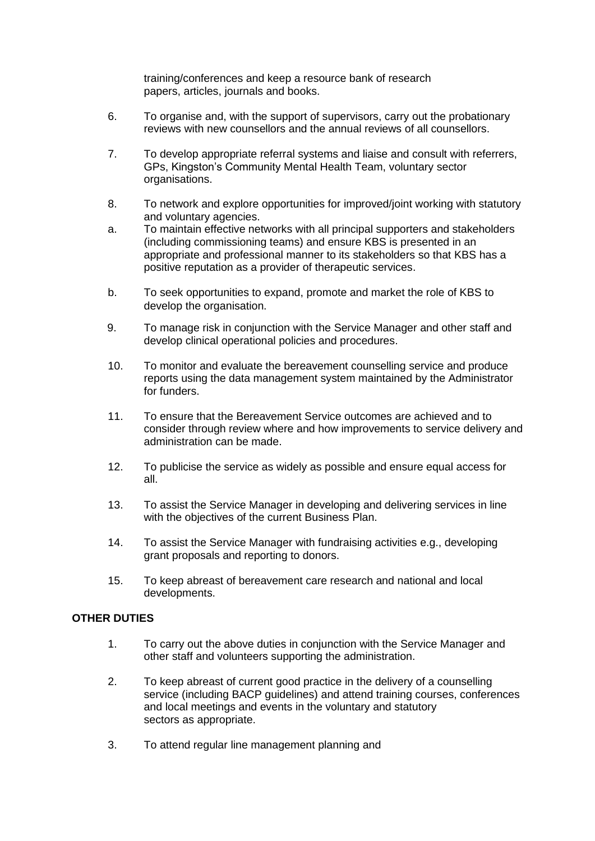training/conferences and keep a resource bank of research papers, articles, journals and books.

- 6. To organise and, with the support of supervisors, carry out the probationary reviews with new counsellors and the annual reviews of all counsellors.
- 7. To develop appropriate referral systems and liaise and consult with referrers, GPs, Kingston's Community Mental Health Team, voluntary sector organisations.
- 8. To network and explore opportunities for improved/joint working with statutory and voluntary agencies.
- a. To maintain effective networks with all principal supporters and stakeholders (including commissioning teams) and ensure KBS is presented in an appropriate and professional manner to its stakeholders so that KBS has a positive reputation as a provider of therapeutic services.
- b. To seek opportunities to expand, promote and market the role of KBS to develop the organisation.
- 9. To manage risk in conjunction with the Service Manager and other staff and develop clinical operational policies and procedures.
- 10. To monitor and evaluate the bereavement counselling service and produce reports using the data management system maintained by the Administrator for funders.
- 11. To ensure that the Bereavement Service outcomes are achieved and to consider through review where and how improvements to service delivery and administration can be made.
- 12. To publicise the service as widely as possible and ensure equal access for all.
- 13. To assist the Service Manager in developing and delivering services in line with the objectives of the current Business Plan.
- 14. To assist the Service Manager with fundraising activities e.g., developing grant proposals and reporting to donors.
- 15. To keep abreast of bereavement care research and national and local developments.

## **OTHER DUTIES**

- 1. To carry out the above duties in conjunction with the Service Manager and other staff and volunteers supporting the administration.
- 2. To keep abreast of current good practice in the delivery of a counselling service (including BACP guidelines) and attend training courses, conferences and local meetings and events in the voluntary and statutory sectors as appropriate.
- 3. To attend regular line management planning and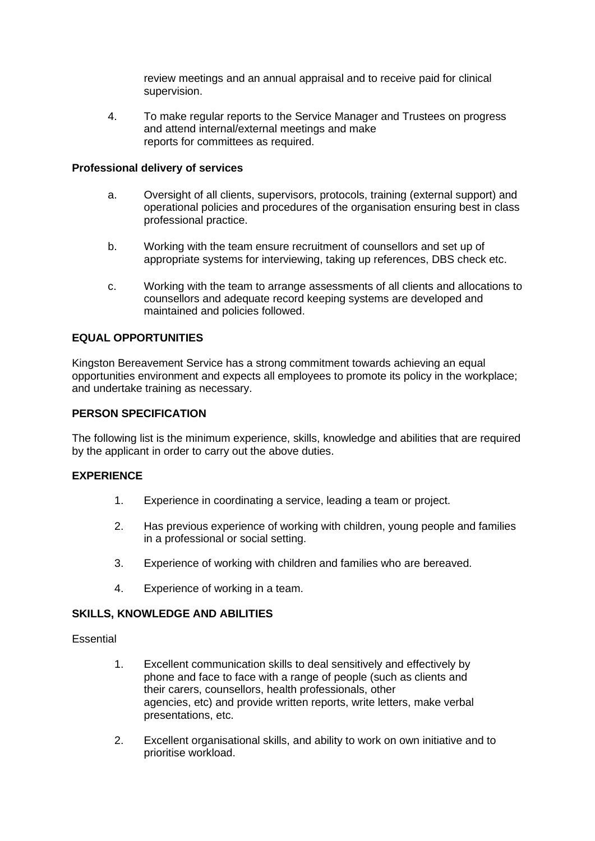review meetings and an annual appraisal and to receive paid for clinical supervision.

4. To make regular reports to the Service Manager and Trustees on progress and attend internal/external meetings and make reports for committees as required.

#### **Professional delivery of services**

- a. Oversight of all clients, supervisors, protocols, training (external support) and operational policies and procedures of the organisation ensuring best in class professional practice.
- b. Working with the team ensure recruitment of counsellors and set up of appropriate systems for interviewing, taking up references, DBS check etc.
- c. Working with the team to arrange assessments of all clients and allocations to counsellors and adequate record keeping systems are developed and maintained and policies followed.

## **EQUAL OPPORTUNITIES**

Kingston Bereavement Service has a strong commitment towards achieving an equal opportunities environment and expects all employees to promote its policy in the workplace; and undertake training as necessary.

#### **PERSON SPECIFICATION**

The following list is the minimum experience, skills, knowledge and abilities that are required by the applicant in order to carry out the above duties.

## **EXPERIENCE**

- 1. Experience in coordinating a service, leading a team or project.
- 2. Has previous experience of working with children, young people and families in a professional or social setting.
- 3. Experience of working with children and families who are bereaved.
- 4. Experience of working in a team.

#### **SKILLS, KNOWLEDGE AND ABILITIES**

**Essential** 

- 1. Excellent communication skills to deal sensitively and effectively by phone and face to face with a range of people (such as clients and their carers, counsellors, health professionals, other agencies, etc) and provide written reports, write letters, make verbal presentations, etc.
- 2. Excellent organisational skills, and ability to work on own initiative and to prioritise workload.